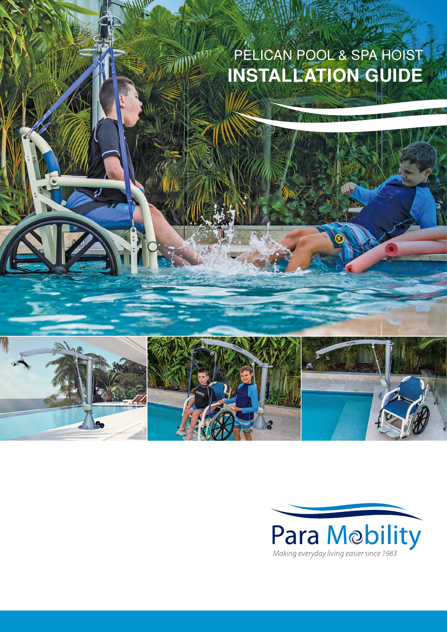## PELICAN POOL & SPA HOIST **INSTALLATION GUIDE**



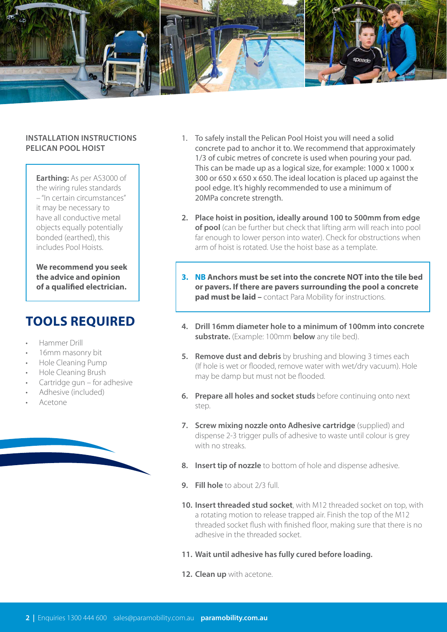

## **INSTALLATION INSTRUCTIONS PELICAN POOL HOIST**

**Earthing:** As per AS3000 of the wiring rules standards – "In certain circumstances" it may be necessary to have all conductive metal objects equally potentially bonded (earthed), this includes Pool Hoists.

**We recommend you seek the advice and opinion of a qualified electrician.**

## **TOOLS REQUIRED**

- Hammer Drill
- 16mm masonry bit
- Hole Cleaning Pump
- Hole Cleaning Brush
- Cartridge gun for adhesive
- Adhesive (included)
- Acetone
- 1. To safely install the Pelican Pool Hoist you will need a solid concrete pad to anchor it to. We recommend that approximately 1/3 of cubic metres of concrete is used when pouring your pad. This can be made up as a logical size, for example: 1000 x 1000 x 300 or 650 x 650 x 650. The ideal location is placed up against the pool edge. It's highly recommended to use a minimum of 20MPa concrete strength.
- **2. Place hoist in position, ideally around 100 to 500mm from edge of pool** (can be further but check that lifting arm will reach into pool far enough to lower person into water). Check for obstructions when arm of hoist is rotated. Use the hoist base as a template.
- **3. NB Anchors must be set into the concrete NOT into the tile bed or pavers. If there are pavers surrounding the pool a concrete pad must be laid –** contact Para Mobility for instructions.
- **4. Drill 16mm diameter hole to a minimum of 100mm into concrete substrate.** (Example: 100mm **below** any tile bed).
- **5. Remove dust and debris** by brushing and blowing 3 times each (If hole is wet or flooded, remove water with wet/dry vacuum). Hole may be damp but must not be flooded.
- **6. Prepare all holes and socket studs** before continuing onto next step.
- **7. Screw mixing nozzle onto Adhesive cartridge** (supplied) and dispense 2-3 trigger pulls of adhesive to waste until colour is grey with no streaks.
- **8. Insert tip of nozzle** to bottom of hole and dispense adhesive.
- **9. Fill hole** to about 2/3 full.
- **10. Insert threaded stud socket**, with M12 threaded socket on top, with a rotating motion to release trapped air. Finish the top of the M12 threaded socket flush with finished floor, making sure that there is no adhesive in the threaded socket.
- **11. Wait until adhesive has fully cured before loading.**
- **12. Clean up** with acetone.